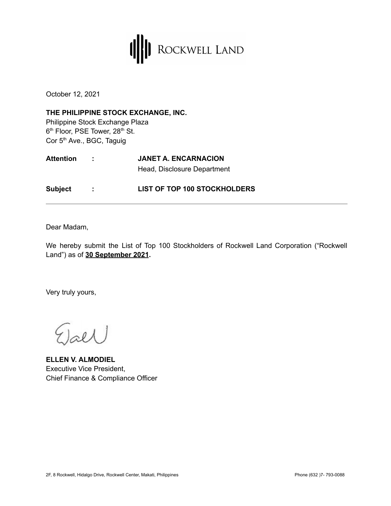

October 12, 2021

**THE PHILIPPINE STOCK EXCHANGE, INC.** Philippine Stock Exchange Plaza 6<sup>th</sup> Floor, PSE Tower, 28<sup>th</sup> St. Cor 5<sup>th</sup> Ave., BGC, Taguig

| <b>Attention</b> |  | <b>JANET A. ENCARNACION</b>         |  |
|------------------|--|-------------------------------------|--|
|                  |  | Head, Disclosure Department         |  |
| <b>Subject</b>   |  | <b>LIST OF TOP 100 STOCKHOLDERS</b> |  |

Dear Madam,

We hereby submit the List of Top 100 Stockholders of Rockwell Land Corporation ("Rockwell Land") as of **30 September 2021.**

Very truly yours,

 $0<sub>0</sub>$ 

**ELLEN V. ALMODIEL** Executive Vice President, Chief Finance & Compliance Officer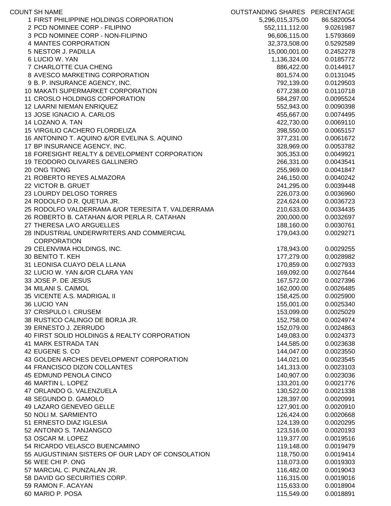| <b>COUNT SH NAME</b>                              | OUTSTANDING SHARES PERCENTAGE |            |
|---------------------------------------------------|-------------------------------|------------|
| 1 FIRST PHILIPPINE HOLDINGS CORPORATION           | 5,296,015,375.00              | 86.5820054 |
| 2 PCD NOMINEE CORP - FILIPINO                     | 552,111,112.00                | 9.0261987  |
| 3 PCD NOMINEE CORP - NON-FILIPINO                 | 96,606,115.00                 | 1.5793669  |
| 4 MANTES CORPORATION                              | 32,373,508.00                 | 0.5292589  |
| 5 NESTOR J. PADILLA                               | 15,000,001.00                 | 0.2452278  |
| 6 LUCIO W. YAN                                    | 1,136,324.00                  | 0.0185772  |
| 7 CHARLOTTE CUA CHENG                             | 886,422.00                    | 0.0144917  |
| 8 AVESCO MARKETING CORPORATION                    | 801,574.00                    | 0.0131045  |
| 9 B. P. INSURANCE AGENCY, INC.                    | 792,139.00                    | 0.0129503  |
| 10 MAKATI SUPERMARKET CORPORATION                 | 677,238.00                    | 0.0110718  |
| 11 CROSLO HOLDINGS CORPORATION                    | 584,297.00                    | 0.0095524  |
| 12 LAARNI NIEMAN ENRIQUEZ                         | 552,943.00                    | 0.0090398  |
| 13 JOSE IGNACIO A. CARLOS                         | 455,667.00                    | 0.0074495  |
| 14 LOZANO A. TAN                                  | 422,730.00                    | 0.0069110  |
| 15 VIRGILIO CACHERO FLORDELIZA                    | 398,550.00                    | 0.0065157  |
| 16 ANTONINO T. AQUINO &/OR EVELINA S. AQUINO      | 377,231.00                    | 0.0061672  |
| 17 BP INSURANCE AGENCY, INC.                      | 328,969.00                    | 0.0053782  |
| 18 FORESIGHT REALTY & DEVELOPMENT CORPORATION     | 305,353.00                    | 0.0049921  |
| 19 TEODORO OLIVARES GALLINERO                     | 266,331.00                    | 0.0043541  |
| 20 ONG TIONG                                      | 255,969.00                    | 0.0041847  |
| 21 ROBERTO REYES ALMAZORA                         | 246,150.00                    | 0.0040242  |
| 22 VICTOR B. GRUET                                | 241,295.00                    | 0.0039448  |
| 23 LOURDY DELOSO TORRES                           | 226,073.00                    | 0.0036960  |
| 24 RODOLFO D.R. QUETUA JR.                        | 224,624.00                    | 0.0036723  |
| 25 RODOLFO VALDERRAMA &/OR TERESITA T. VALDERRAMA | 210,633.00                    | 0.0034435  |
| 26 ROBERTO B. CATAHAN &/OR PERLA R. CATAHAN       | 200,000.00                    | 0.0032697  |
| 27 THERESA LA'O ARGUELLES                         | 188,160.00                    | 0.0030761  |
| 28 INDUSTRIAL UNDERWRITERS AND COMMERCIAL         |                               | 0.0029271  |
| <b>CORPORATION</b>                                | 179,043.00                    |            |
|                                                   |                               |            |
| 29 CELENVIMA HOLDINGS, INC.                       | 178,943.00<br>177,279.00      | 0.0029255  |
| 30 BENITO T. KEH                                  |                               | 0.0028982  |
| 31 LEONISA CUAYO DELA LLANA                       | 170,859.00                    | 0.0027933  |
| 32 LUCIO W. YAN &/OR CLARA YAN                    | 169,092.00                    | 0.0027644  |
| 33 JOSE P. DE JESUS                               | 167,572.00                    | 0.0027396  |
| 34 MILANI S. CAIMOL                               | 162,000.00                    | 0.0026485  |
| 35 VICENTE A.S. MADRIGAL II                       | 158,425.00                    | 0.0025900  |
| 36 LUCIO YAN                                      | 155,001.00                    | 0.0025340  |
| 37 CRISPULO I. CRUSEM                             | 153,099.00                    | 0.0025029  |
| 38 RUSTICO CALINGO DE BORJA JR.                   | 152,758.00                    | 0.0024974  |
| 39 ERNESTO J. ZERRUDO                             | 152,079.00                    | 0.0024863  |
| 40 FIRST SOLID HOLDINGS & REALTY CORPORATION      | 149,083.00                    | 0.0024373  |
| <b>41 MARK ESTRADA TAN</b>                        | 144,585.00                    | 0.0023638  |
| 42 EUGENE S. CO                                   | 144,047.00                    | 0.0023550  |
| 43 GOLDEN ARCHES DEVELOPMENT CORPORATION          | 144,021.00                    | 0.0023545  |
| 44 FRANCISCO DIZON COLLANTES                      | 141,313.00                    | 0.0023103  |
| 45 EDMUND PENOLA CINCO                            | 140,907.00                    | 0.0023036  |
| 46 MARTIN L. LOPEZ                                | 133,201.00                    | 0.0021776  |
| 47 ORLANDO G. VALENZUELA                          | 130,522.00                    | 0.0021338  |
| 48 SEGUNDO D. GAMOLO                              | 128,397.00                    | 0.0020991  |
| 49 LAZARO GENEVEO GELLE                           | 127,901.00                    | 0.0020910  |
| 50 NOLI M. SARMIENTO                              | 126,424.00                    | 0.0020668  |
| 51 ERNESTO DIAZ IGLESIA                           | 124,139.00                    | 0.0020295  |
| 52 ANTONIO S. TANJANGCO                           | 123,516.00                    | 0.0020193  |
| 53 OSCAR M. LOPEZ                                 | 119,377.00                    | 0.0019516  |
| 54 RICARDO VELASCO BUENCAMINO                     | 119,148.00                    | 0.0019479  |
| 55 AUGUSTINIAN SISTERS OF OUR LADY OF CONSOLATION | 118,750.00                    | 0.0019414  |
| 56 WEE CHI P. ONG                                 | 118,073.00                    | 0.0019303  |
| 57 MARCIAL C. PUNZALAN JR.                        | 116,482.00                    | 0.0019043  |
| 58 DAVID GO SECURITIES CORP.                      | 116,315.00                    | 0.0019016  |
| 59 RAMON F. ACAYAN                                | 115,633.00                    | 0.0018904  |
| 60 MARIO P. POSA                                  | 115,549.00                    | 0.0018891  |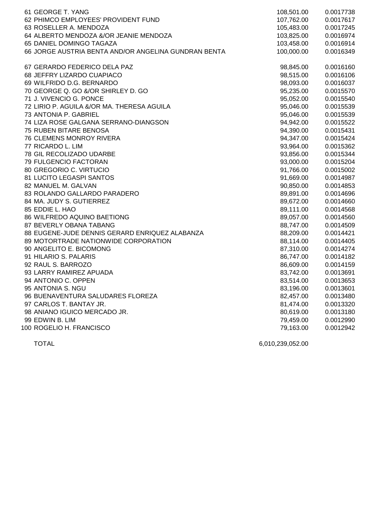| 61 GEORGE T. YANG                                    | 108,501.00 | 0.0017738 |
|------------------------------------------------------|------------|-----------|
| 62 PHIMCO EMPLOYEES' PROVIDENT FUND                  | 107,762.00 | 0.0017617 |
| 63 ROSELLER A. MENDOZA                               | 105,483.00 | 0.0017245 |
| 64 ALBERTO MENDOZA &/OR JEANIE MENDOZA               | 103,825.00 | 0.0016974 |
| 65 DANIEL DOMINGO TAGAZA                             | 103,458.00 | 0.0016914 |
| 66 JORGE AUSTRIA BENTA AND/OR ANGELINA GUNDRAN BENTA | 100,000.00 | 0.0016349 |
| 67 GERARDO FEDERICO DELA PAZ                         | 98,845.00  | 0.0016160 |
| 68 JEFFRY LIZARDO CUAPIACO                           | 98,515.00  | 0.0016106 |
| 69 WILFRIDO D.G. BERNARDO                            | 98,093.00  | 0.0016037 |
| 70 GEORGE Q. GO &/OR SHIRLEY D. GO                   | 95,235.00  | 0.0015570 |
| 71 J. VIVENCIO G. PONCE                              | 95,052.00  | 0.0015540 |
| 72 LIRIO P. AGUILA &/OR MA. THERESA AGUILA           | 95,046.00  | 0.0015539 |
| 73 ANTONIA P. GABRIEL                                | 95,046.00  | 0.0015539 |
| 74 LIZA ROSE GALGANA SERRANO-DIANGSON                | 94,942.00  | 0.0015522 |
| 75 RUBEN BITARE BENOSA                               | 94,390.00  | 0.0015431 |
| 76 CLEMENS MONROY RIVERA                             | 94,347.00  | 0.0015424 |
| 77 RICARDO L. LIM                                    | 93,964.00  | 0.0015362 |
| 78 GIL RECOLIZADO UDARBE                             | 93,856.00  | 0.0015344 |
| 79 FULGENCIO FACTORAN                                | 93,000.00  | 0.0015204 |
| 80 GREGORIO C. VIRTUCIO                              | 91,766.00  | 0.0015002 |
| 81 LUCITO LEGASPI SANTOS                             | 91,669.00  | 0.0014987 |
| 82 MANUEL M. GALVAN                                  | 90,850.00  | 0.0014853 |
| 83 ROLANDO GALLARDO PARADERO                         | 89,891.00  | 0.0014696 |
| 84 MA. JUDY S. GUTIERREZ                             | 89,672.00  | 0.0014660 |
| 85 EDDIE L. HAO                                      | 89,111.00  | 0.0014568 |
| 86 WILFREDO AQUINO BAETIONG                          | 89,057.00  | 0.0014560 |
| 87 BEVERLY OBANA TABANG                              | 88,747.00  | 0.0014509 |
| 88 EUGENE-JUDE DENNIS GERARD ENRIQUEZ ALABANZA       | 88,209.00  | 0.0014421 |
| 89 MOTORTRADE NATIONWIDE CORPORATION                 | 88,114.00  | 0.0014405 |
| 90 ANGELITO E. BICOMONG                              | 87,310.00  | 0.0014274 |
| 91 HILARIO S. PALARIS                                | 86,747.00  | 0.0014182 |
| 92 RAUL S. BARROZO                                   | 86,609.00  | 0.0014159 |
| 93 LARRY RAMIREZ APUADA                              | 83,742.00  | 0.0013691 |
| 94 ANTONIO C. OPPEN                                  | 83,514.00  | 0.0013653 |
| 95 ANTONIA S. NGU                                    | 83,196.00  | 0.0013601 |
| 96 BUENAVENTURA SALUDARES FLOREZA                    | 82,457.00  | 0.0013480 |
| 97 CARLOS T. BANTAY JR.                              | 81,474.00  | 0.0013320 |
| 98 ANIANO IGUICO MERCADO JR.                         | 80,619.00  | 0.0013180 |
| 99 EDWIN B. LIM                                      | 79,459.00  | 0.0012990 |
| 100 ROGELIO H. FRANCISCO                             | 79,163.00  | 0.0012942 |

TOTAL 6,010,239,052.00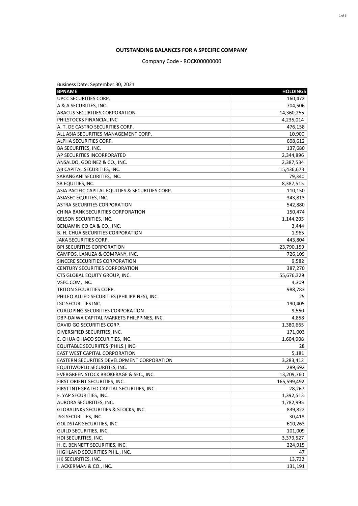## **OUTSTANDING BALANCES FOR A SPECIFIC COMPANY**

## Company Code - ROCK00000000

| Business Date: September 30, 2021                 |                 |
|---------------------------------------------------|-----------------|
| <b>BPNAME</b>                                     | <b>HOLDINGS</b> |
| UPCC SECURITIES CORP.                             | 160,472         |
| A & A SECURITIES, INC.                            | 704,506         |
| <b>ABACUS SECURITIES CORPORATION</b>              | 14,360,255      |
| PHILSTOCKS FINANCIAL INC                          | 4,235,014       |
| A. T. DE CASTRO SECURITIES CORP.                  | 476,158         |
| ALL ASIA SECURITIES MANAGEMENT CORP.              | 10,900          |
| <b>ALPHA SECURITIES CORP.</b>                     | 608,612         |
| <b>BA SECURITIES, INC.</b>                        | 137,680         |
| AP SECURITIES INCORPORATED                        | 2,344,896       |
| ANSALDO, GODINEZ & CO., INC.                      | 2,387,534       |
| AB CAPITAL SECURITIES, INC.                       | 15,436,673      |
| SARANGANI SECURITIES, INC.                        | 79,340          |
| <b>SB EQUITIES, INC.</b>                          | 8,387,515       |
| ASIA PACIFIC CAPITAL EQUITIES & SECURITIES CORP.  | 110,150         |
| <b>ASIASEC EQUITIES, INC.</b>                     | 343,813         |
| <b>ASTRA SECURITIES CORPORATION</b>               | 542,880         |
| CHINA BANK SECURITIES CORPORATION                 | 150,474         |
| BELSON SECURITIES, INC.                           | 1,144,205       |
| BENJAMIN CO CA & CO., INC.                        | 3,444           |
| B. H. CHUA SECURITIES CORPORATION                 | 1,965           |
| JAKA SECURITIES CORP.                             | 443,804         |
| BPI SECURITIES CORPORATION                        | 23,790,159      |
| CAMPOS, LANUZA & COMPANY, INC.                    | 726,109         |
| SINCERE SECURITIES CORPORATION                    | 9,582           |
| CENTURY SECURITIES CORPORATION                    | 387,270         |
| CTS GLOBAL EQUITY GROUP, INC.                     | 55,676,329      |
| VSEC.COM, INC.                                    | 4,309           |
| TRITON SECURITIES CORP.                           | 988,783         |
| PHILEO ALLIED SECURITIES (PHILIPPINES), INC.      | 25              |
| <b>IGC SECURITIES INC.</b>                        | 190,405         |
| <b>CUALOPING SECURITIES CORPORATION</b>           | 9,550           |
| DBP-DAIWA CAPITAL MARKETS PHILPPINES, INC.        | 4,858           |
| DAVID GO SECURITIES CORP.                         | 1,380,665       |
| DIVERSIFIED SECURITIES, INC.                      | 171,003         |
| E. CHUA CHIACO SECURITIES, INC.                   | 1,604,908       |
| EQUITABLE SECURIITES (PHILS.) INC.                | 28              |
| <b>EAST WEST CAPITAL CORPORATION</b>              | 5,181           |
| <b>EASTERN SECURITIES DEVELOPMENT CORPORATION</b> | 3,283,412       |
| EQUITIWORLD SECURITIES, INC.                      | 289,692         |
| EVERGREEN STOCK BROKERAGE & SEC., INC.            | 13,209,760      |
| FIRST ORIENT SECURITIES, INC.                     | 165,599,492     |
| FIRST INTEGRATED CAPITAL SECURITIES, INC.         | 28,267          |
| F. YAP SECURITIES, INC.                           | 1,392,513       |
| AURORA SECURITIES, INC.                           | 1,782,995       |
| <b>GLOBALINKS SECURITIES &amp; STOCKS, INC.</b>   | 839,822         |
| JSG SECURITIES, INC.                              | 30,418          |
| <b>GOLDSTAR SECURITIES, INC.</b>                  | 610,263         |
| <b>GUILD SECURITIES, INC.</b>                     | 101,009         |
| HDI SECURITIES, INC.                              | 3,379,527       |
| H. E. BENNETT SECURITIES, INC.                    | 224,915         |
| HIGHLAND SECURITIES PHIL., INC.                   | 47              |
| HK SECURITIES, INC.                               | 13,732          |
| I. ACKERMAN & CO., INC.                           | 131,191         |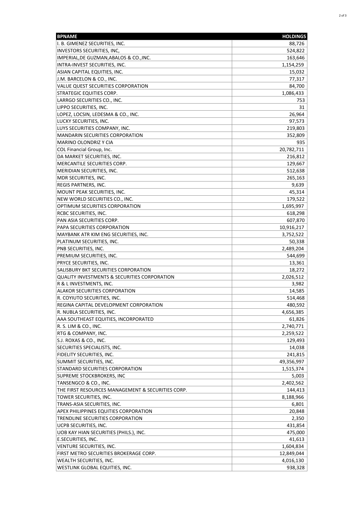| <b>BPNAME</b>                                                        | <b>HOLDINGS</b>    |
|----------------------------------------------------------------------|--------------------|
| I. B. GIMENEZ SECURITIES, INC.                                       | 88,726             |
| <b>INVESTORS SECURITIES, INC,</b>                                    | 524,822            |
| IMPERIAL, DE GUZMAN, ABALOS & CO., INC.                              | 163,646            |
| INTRA-INVEST SECURITIES, INC.                                        | 1,154,259          |
| ASIAN CAPITAL EQUITIES, INC.                                         | 15,032             |
| J.M. BARCELON & CO., INC.                                            | 77,317             |
| VALUE QUEST SECURITIES CORPORATION                                   | 84,700             |
| <b>STRATEGIC EQUITIES CORP.</b>                                      | 1,086,433          |
| LARRGO SECURITIES CO., INC.                                          | 753                |
| LIPPO SECURITIES, INC.                                               | 31                 |
| LOPEZ, LOCSIN, LEDESMA & CO., INC.                                   | 26,964             |
| LUCKY SECURITIES, INC.                                               | 97,573             |
| LUYS SECURITIES COMPANY, INC.                                        | 219,803            |
| <b>MANDARIN SECURITIES CORPORATION</b>                               | 352,809            |
| <b>MARINO OLONDRIZ Y CIA</b>                                         | 935                |
| COL Financial Group, Inc.                                            | 20,782,711         |
| DA MARKET SECURITIES, INC.                                           | 216,812            |
| MERCANTILE SECURITIES CORP.                                          | 129,667            |
| MERIDIAN SECURITIES, INC.                                            | 512,638            |
| MDR SECURITIES, INC.                                                 | 265,163            |
| <b>REGIS PARTNERS, INC.</b>                                          | 9,639              |
| MOUNT PEAK SECURITIES, INC.                                          | 45,314             |
| NEW WORLD SECURITIES CO., INC.                                       | 179,522            |
| OPTIMUM SECURITIES CORPORATION                                       | 1,695,997          |
| RCBC SECURITIES, INC.                                                | 618,298            |
| PAN ASIA SECURITIES CORP.                                            | 607,870            |
| PAPA SECURITIES CORPORATION                                          | 10,916,217         |
| MAYBANK ATR KIM ENG SECURITIES, INC.                                 | 3,752,522          |
| PLATINUM SECURITIES, INC.                                            | 50,338             |
| PNB SECURITIES, INC.                                                 | 2,489,204          |
| PREMIUM SECURITIES, INC.                                             | 544,699            |
| PRYCE SECURITIES, INC.                                               | 13,361             |
| SALISBURY BKT SECURITIES CORPORATION                                 | 18,272             |
| QUALITY INVESTMENTS & SECURITIES CORPORATION                         | 2,026,512          |
| R & L INVESTMENTS, INC.                                              | 3,982              |
| <b>ALAKOR SECURITIES CORPORATION</b>                                 | 14,585             |
| R. COYIUTO SECURITIES, INC.                                          | 514,468            |
| REGINA CAPITAL DEVELOPMENT CORPORATION                               | 480,592            |
| R. NUBLA SECURITIES, INC.                                            | 4,656,385          |
| AAA SOUTHEAST EQUITIES, INCORPORATED                                 | 61,826             |
| R. S. LIM & CO., INC.                                                | 2,740,771          |
| RTG & COMPANY, INC.                                                  | 2,259,522          |
| S.J. ROXAS & CO., INC.                                               | 129,493            |
| SECURITIES SPECIALISTS, INC.                                         | 14,038             |
| FIDELITY SECURITIES, INC.                                            | 241,815            |
| SUMMIT SECURITIES, INC.                                              | 49,356,997         |
| STANDARD SECURITIES CORPORATION                                      | 1,515,374          |
| SUPREME STOCKBROKERS, INC                                            |                    |
| TANSENGCO & CO., INC.                                                | 5,003<br>2,402,562 |
| THE FIRST RESOURCES MANAGEMENT & SECURITIES CORP.                    |                    |
|                                                                      | 144,413            |
| TOWER SECURITIES, INC.                                               | 8,188,966          |
| TRANS-ASIA SECURITIES, INC.<br>APEX PHILIPPINES EQUITIES CORPORATION | 6,801              |
|                                                                      | 20,848             |
| TRENDLINE SECURITIES CORPORATION                                     | 2,350              |
| UCPB SECURITIES, INC.                                                | 431,854            |
| UOB KAY HIAN SECURITIES (PHILS.), INC.                               | 475,000            |
| E.SECURITIES, INC.                                                   | 41,613             |
| VENTURE SECURITIES, INC.                                             | 1,604,834          |
| FIRST METRO SECURITIES BROKERAGE CORP.                               | 12,849,044         |
| WEALTH SECURITIES, INC.                                              | 4,016,130          |
| WESTLINK GLOBAL EQUITIES, INC.                                       | 938,328            |